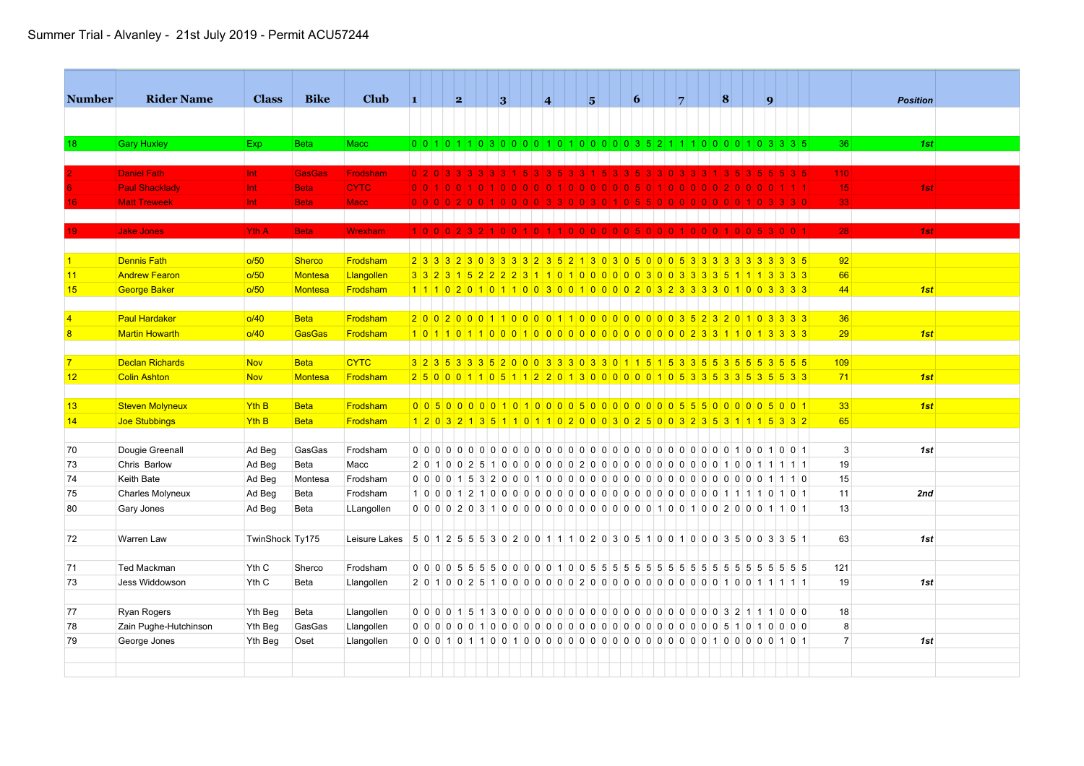| <b>Number</b>  | <b>Rider Name</b>                     | <b>Class</b>     | <b>Bike</b>    | <b>Club</b>                                                                           | 1. |           | 2 |  | 3 |     | 4                                                                                                              | $5^{\circ}$ |     | $\vert 6 \vert$ |  | 7 |  | 8 |  | $\vert \mathbf{q} \vert$ |         |       |                 | <b>Position</b> |  |
|----------------|---------------------------------------|------------------|----------------|---------------------------------------------------------------------------------------|----|-----------|---|--|---|-----|----------------------------------------------------------------------------------------------------------------|-------------|-----|-----------------|--|---|--|---|--|--------------------------|---------|-------|-----------------|-----------------|--|
|                |                                       |                  |                |                                                                                       |    |           |   |  |   |     |                                                                                                                |             |     |                 |  |   |  |   |  |                          |         |       |                 |                 |  |
|                |                                       |                  |                |                                                                                       |    |           |   |  |   |     |                                                                                                                |             |     |                 |  |   |  |   |  |                          |         |       |                 |                 |  |
| 18             | <b>Gary Huxley</b>                    | Exp.             | <b>Beta</b>    | Macc                                                                                  |    |           |   |  |   |     | 0 0 1 0 1 0 3 0 0 0 0 1 0 1 0 0 0 0 0 3 5 2 1 1 1 0 0 0 0 1 0 3 3 3 5                                          |             |     |                 |  |   |  |   |  |                          |         |       | 36 <sup>°</sup> | 1st             |  |
|                | <b>Daniel Fath</b>                    | Int              | <b>GasGas</b>  | <b>Frodsham</b>                                                                       |    | 020333333 |   |  |   | 15. | -51                                                                                                            | $3 \mid 1$  | -51 | -51             |  |   |  |   |  |                          |         | 5 3 5 | 110             |                 |  |
|                | <b>Paul Shacklady</b>                 | Int              | <b>Beta</b>    | <b>CYTC</b>                                                                           |    | 001010010 |   |  |   |     | 1000001010000005010000020001111                                                                                |             |     |                 |  |   |  |   |  |                          |         |       | 15              | 1st             |  |
|                | <b>Matt Treweek</b>                   | Int.             | <b>Beta</b>    | <b>Macc</b>                                                                           |    |           |   |  |   |     | 0 0 0 0 2 0 0 1 0 0 0 0 3 3 0 0 3 0 1 0 5 5 0 0 0 0 0 0 0 0 1 0 3 3 3 0                                        |             |     |                 |  |   |  |   |  |                          |         |       | 33              |                 |  |
|                |                                       |                  |                |                                                                                       |    |           |   |  |   |     |                                                                                                                |             |     |                 |  |   |  |   |  |                          |         |       |                 |                 |  |
|                | <b>Jake Jones</b>                     | Yth A            | <b>Beta</b>    | <b>Wrexham</b>                                                                        |    |           |   |  |   |     | 100023210010110000005000100010010                                                                              |             |     |                 |  |   |  |   |  |                          | 3 0 0 1 |       | 28              | 1st             |  |
|                |                                       |                  |                |                                                                                       |    |           |   |  |   |     |                                                                                                                |             |     |                 |  |   |  |   |  |                          |         |       |                 |                 |  |
|                | <b>Dennis Fath</b>                    | o/50             | <b>Sherco</b>  | Frodsham                                                                              |    |           |   |  |   |     | 2 3 3 3 2 3 0 3 3 3 3 3 2 3 5 2 1 3 0 3 0 5 0 0 0 5 3 3 3 3 3 3 3 3 3 3 5                                      |             |     |                 |  |   |  |   |  |                          |         |       | 92              |                 |  |
| 11             | <b>Andrew Fearon</b>                  | o/50             | Montesa        | Llangollen                                                                            |    |           |   |  |   |     | 3 3 2 3 1 5 2 2 2 2 3 1 1 0 1 0 0 0 0 0 0 3 0 0 3 3 3 3 5 1 1 1 3 3 3 3                                        |             |     |                 |  |   |  |   |  |                          |         |       | 66              |                 |  |
| 15             | George Baker                          | o/50             | <b>Montesa</b> | Frodsham                                                                              |    |           |   |  |   |     | 1 1 1 0 2 0 1 0 1 1 0 0 3 0 0 1 0 0 0 0 2 0 3 2 3 3 3 3 0 1 0 0 3 3 3 3                                        |             |     |                 |  |   |  |   |  |                          |         |       | 44              | 1st             |  |
|                |                                       |                  |                |                                                                                       |    |           |   |  |   |     |                                                                                                                |             |     |                 |  |   |  |   |  |                          |         |       |                 |                 |  |
| $\overline{4}$ | <b>Paul Hardaker</b>                  | O/40             | <b>Beta</b>    | Frodsham                                                                              |    |           |   |  |   |     | 2002001100011001100000000000352320103333                                                                       |             |     |                 |  |   |  |   |  |                          |         |       | 36              |                 |  |
| $\overline{8}$ | <b>Martin Howarth</b>                 | 0/40             | <b>GasGas</b>  | Frodsham                                                                              |    |           |   |  |   |     |                                                                                                                |             |     |                 |  |   |  |   |  |                          |         |       | 29              | 1st             |  |
|                |                                       |                  |                |                                                                                       |    |           |   |  |   |     |                                                                                                                |             |     |                 |  |   |  |   |  |                          |         |       |                 |                 |  |
|                | <b>Declan Richards</b>                | <b>Nov</b>       | <b>Beta</b>    | <b>CYTC</b>                                                                           |    |           |   |  |   |     | 3 2 3 5 3 3 3 5 2 0 0 0 3 3 3 0 3 3 0 1 1 5 1 5 3 3 5 5 3 5 5 5 3 5 5 5                                        |             |     |                 |  |   |  |   |  |                          |         |       | 109             |                 |  |
| 12             | <b>Colin Ashton</b>                   | <b>Nov</b>       | Montesa        | Frodsham                                                                              |    |           |   |  |   |     | 2 5 0 0 0 1 1 0 5 1 1 2 2 0 1 3 0 0 0 0 0 0 1 0 5 3 3 5 3 5 5 6 5 6 3 3                                        |             |     |                 |  |   |  |   |  |                          |         |       | 71              | 1st             |  |
|                |                                       |                  |                |                                                                                       |    |           |   |  |   |     |                                                                                                                |             |     |                 |  |   |  |   |  |                          |         |       |                 |                 |  |
| 13             | <b>Steven Molyneux</b>                | Yth B            | <b>Beta</b>    | Frodsham                                                                              |    |           |   |  |   |     | 005000001010000500000000555000005500                                                                           |             |     |                 |  |   |  |   |  |                          |         |       | 33              | 1st             |  |
| 14             | Joe Stubbings                         | Yth B            | <b>Beta</b>    | Frodsham                                                                              |    |           |   |  |   |     | 1 2 0 3 2 1 3 5 1 1 0 1 1 0 2 0 0 0 3 0 2 5 0 0 3 2 3 5 3 1 1 1 5 3 3 2                                        |             |     |                 |  |   |  |   |  |                          |         |       | 65              |                 |  |
|                |                                       |                  |                |                                                                                       |    |           |   |  |   |     |                                                                                                                |             |     |                 |  |   |  |   |  |                          |         |       |                 |                 |  |
| 70             | Dougie Greenall                       | Ad Beg           | GasGas         | Frodsham                                                                              |    |           |   |  |   |     |                                                                                                                |             |     |                 |  |   |  |   |  |                          |         |       | $\mathbf{3}$    | 1st             |  |
| 73             | Chris Barlow                          | Ad Beg           | Beta           | Macc                                                                                  |    |           |   |  |   |     | 2010025100000002000000000000010011111                                                                          |             |     |                 |  |   |  |   |  |                          |         |       | 19              |                 |  |
| 74             | Keith Bate                            | Ad Beg           | Montesa        | Frodsham                                                                              |    |           |   |  |   |     |                                                                                                                |             |     |                 |  |   |  |   |  |                          |         |       | 15              |                 |  |
| 75<br>80       | <b>Charles Molyneux</b><br>Gary Jones | Ad Beg<br>Ad Beg | Beta<br>Beta   | Frodsham<br>LLangollen                                                                |    |           |   |  |   |     | 10001210000000000000000000001110101<br>0 0 0 0 2 0 3 1 0 0 0 0 0 0 0 0 0 0 0 0 0 0 1 0 0 1 0 0 2 0 0 0 1 1 0 1 |             |     |                 |  |   |  |   |  |                          |         |       | 11<br>13        | 2nd             |  |
|                |                                       |                  |                |                                                                                       |    |           |   |  |   |     |                                                                                                                |             |     |                 |  |   |  |   |  |                          |         |       |                 |                 |  |
| 72             | Warren Law                            |                  |                |                                                                                       |    |           |   |  |   |     |                                                                                                                |             |     |                 |  |   |  |   |  |                          |         |       | 63              | 1st             |  |
|                |                                       | TwinShock Ty175  |                | Leisure Lakes 5 0 1 2 5 5 5 3 0 2 0 0 1 1 1 0 2 0 3 0 5 1 0 0 1 0 0 0 3 5 0 0 3 3 5 1 |    |           |   |  |   |     |                                                                                                                |             |     |                 |  |   |  |   |  |                          |         |       |                 |                 |  |
| 71             | <b>Ted Mackman</b>                    | Yth C            | Sherco         | Frodsham                                                                              |    |           |   |  |   |     |                                                                                                                |             |     |                 |  |   |  |   |  |                          |         |       | 121             |                 |  |
| 73             | Jess Widdowson                        | Yth C            | Beta           | Llangollen                                                                            |    |           |   |  |   |     |                                                                                                                |             |     |                 |  |   |  |   |  |                          |         |       | 19              | 1st             |  |
|                |                                       |                  |                |                                                                                       |    |           |   |  |   |     |                                                                                                                |             |     |                 |  |   |  |   |  |                          |         |       |                 |                 |  |
| 77             | <b>Ryan Rogers</b>                    | Yth Beg          | Beta           | Llangollen                                                                            |    |           |   |  |   |     |                                                                                                                |             |     |                 |  |   |  |   |  |                          |         |       | 18              |                 |  |
| 78             | Zain Pughe-Hutchinson                 | Yth Beg          | GasGas         | Llangollen                                                                            |    |           |   |  |   |     |                                                                                                                |             |     |                 |  |   |  |   |  |                          |         |       | 8               |                 |  |
| 79             | George Jones                          | Yth Beg          | Oset           | Llangollen                                                                            |    |           |   |  |   |     |                                                                                                                |             |     |                 |  |   |  |   |  |                          |         |       | $\overline{7}$  | 1st             |  |
|                |                                       |                  |                |                                                                                       |    |           |   |  |   |     |                                                                                                                |             |     |                 |  |   |  |   |  |                          |         |       |                 |                 |  |
|                |                                       |                  |                |                                                                                       |    |           |   |  |   |     |                                                                                                                |             |     |                 |  |   |  |   |  |                          |         |       |                 |                 |  |